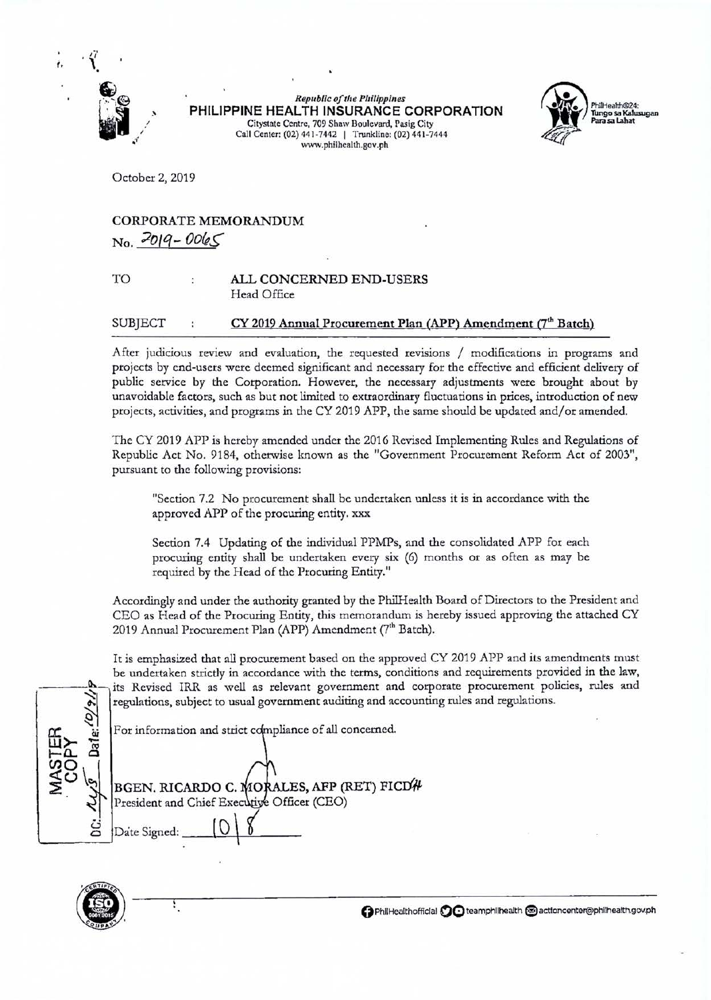

**Republic of the Philippines PHILIPPINE HEALTH INSURANCE CORPORATION**  Citystate Centre, 709 Shaw Boulevard, Pasig City Call Center: (02) 441-7442 | Trunkline: (02) 441-7444 www.philhealth.gov.ph



October 2, 2019

## CORPORATE MEMORANDUM  $N_0$ ,  $2019 - 0065$

## TO ALL CONCERNED END-USERS Head Office

## SUBJECT : CY 2019 Annual Procurement Plan (APP) Amendment (7<sup>th</sup> Batch)

After judicious review and evaluation, the requested revisions / modifications in programs and projects by end-users were deemed significant and necessary for the effective and efficient delivery of public service by the Corporation. However, the necessary adjustments were brought about by unavoidable factors, such as but not limited to extraordinary fluctuations in prices, introduction of new projects, activities, and programs in the CY 2019 APP, the same should be updated and/or amended.

The CY 2019 APP is hereby amended under the 2016 Revised Implementing Rules and Regulations of Republic Act No. 9184, otherwise known as the "Government Procurement Reform Act of 2003", pursuant to the following provisions:

"Section 7.2 No procurement shall be undertaken unless it is in accordance with the approved APP of the procuring entity. xxx

Section 7.4 Updating of the individual PPMPs, and the consolidated APP for each procuring entity shall be undertaken every six (6) months or as often as may be required by the Head of the Procuring Entity."

Accordingly and under the authority granted by the PhilHealth Board of Directors to the President and CEO as Head of the Procuring Entity, this memorandum is hereby issued approving the attached CY 2019 Annual Procurement Plan (APP) Amendment (7<sup>th</sup> Batch).

It is emphasized that all procurement based on the approved CY 2019 APP and its amendments must be undertaken strictly in accordance with the terms, conditions and requirements provided in the law, its Revised IRR as well as relevant government and corporate procurement policies, rules and regulations, subject to usual government auditing and accounting rules and regulations.

For information and strict compliance of all concerned.

BGEN. RICARDO C. MORALES, AFP (I)<br>President and Chief Executive Officer (CEO)<br> $\frac{1}{2}$  Date Signed:  $\frac{1}{2}$ ت ă BGEN, RICARDO C. MORALES, AFP (RET) FICD# ~------~ \



Ŧ,

**0** PhiiHealthofficlal **00** teamphllhealth **@I** actloncenter@philhealth.gov.ph